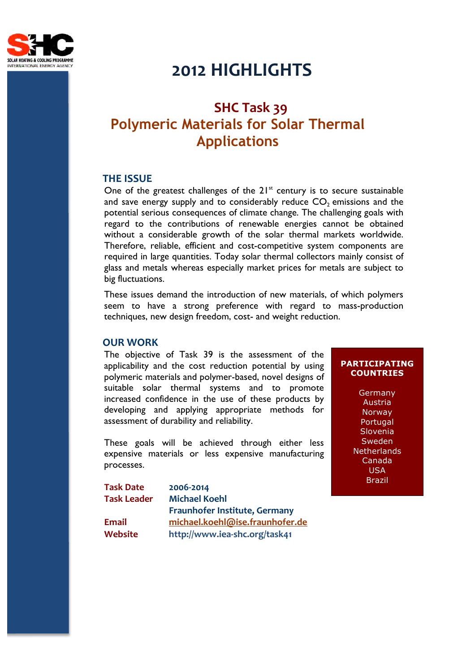

# **2012 HIGHLIGHTS**

# **SHC Task 39 Polymeric Materials for Solar Thermal Applications**

### **THE ISSUE**

One of the greatest challenges of the  $21<sup>st</sup>$  century is to secure sustainable and save energy supply and to considerably reduce  $CO<sub>2</sub>$  emissions and the potential serious consequences of climate change. The challenging goals with regard to the contributions of renewable energies cannot be obtained without a considerable growth of the solar thermal markets worldwide. Therefore, reliable, efficient and cost-competitive system components are required in large quantities. Today solar thermal collectors mainly consist of glass and metals whereas especially market prices for metals are subject to big fluctuations.

These issues demand the introduction of new materials, of which polymers seem to have a strong preference with regard to mass-production techniques, new design freedom, cost- and weight reduction.

#### **OUR WORK**

The objective of Task 39 is the assessment of the applicability and the cost reduction potential by using polymeric materials and polymer-based, novel designs of suitable solar thermal systems and to promote increased confidence in the use of these products by developing and applying appropriate methods for assessment of durability and reliability.

These goals will be achieved through either less expensive materials or less expensive manufacturing processes.

**Task Date 2006-2014 Task Leader Michael Koehl Fraunhofer Institute, Germany Email michael.koehl@ise.fraunhofer.de Website http://www.iea-shc.org/task41** 

#### **PARTICIPATING COUNTRIES**

Germany Austria **Norway** Portugal Slovenia **Sweden Netherlands** Canada USA Brazil